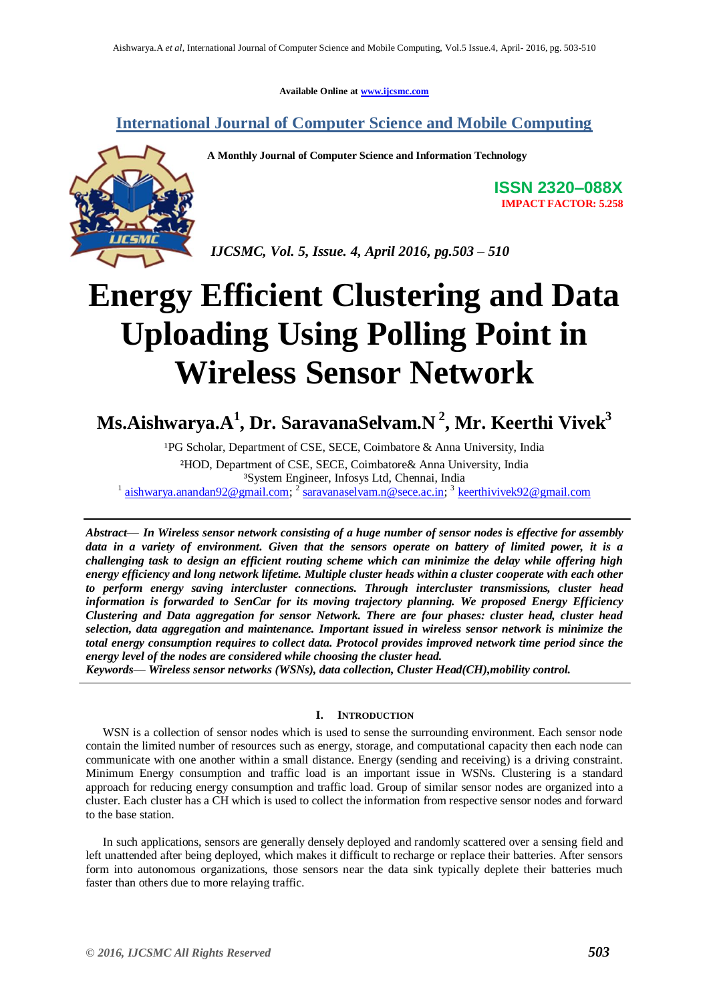**Available Online at [www.ijcsmc.com](http://www.ijcsmc.com/)**

### **International Journal of Computer Science and Mobile Computing**



**A Monthly Journal of Computer Science and Information Technology**

**ISSN 2320–088X IMPACT FACTOR: 5.258**

*IJCSMC, Vol. 5, Issue. 4, April 2016, pg.503 – 510*

# **Energy Efficient Clustering and Data Uploading Using Polling Point in Wireless Sensor Network**

## **Ms.Aishwarya.A<sup>1</sup> , Dr. SaravanaSelvam.N <sup>2</sup> , Mr. Keerthi Vivek<sup>3</sup>**

<sup>1</sup>PG Scholar, Department of CSE, SECE, Coimbatore & Anna University, India ²HOD, Department of CSE, SECE, Coimbatore& Anna University, India ³System Engineer, Infosys Ltd, Chennai, India <sup>1</sup> [aishwarya.anandan92@gmail.com;](mailto:aishwarya.anandan92@gmail.com) <sup>2</sup> [saravanaselvam.n@sece.ac.in;](mailto:saravanaselvam.n@sece.ac.in) <sup>3</sup> [keerthivivek92@gmail.com](mailto:keerthivivek92@gmail.com)

*Abstract*— *In Wireless sensor network consisting of a huge number of sensor nodes is effective for assembly data in a variety of environment. Given that the sensors operate on battery of limited power, it is a challenging task to design an efficient routing scheme which can minimize the delay while offering high energy efficiency and long network lifetime. Multiple cluster heads within a cluster cooperate with each other to perform energy saving intercluster connections. Through intercluster transmissions, cluster head information is forwarded to SenCar for its moving trajectory planning. We proposed Energy Efficiency Clustering and Data aggregation for sensor Network. There are four phases: cluster head, cluster head selection, data aggregation and maintenance. Important issued in wireless sensor network is minimize the total energy consumption requires to collect data. Protocol provides improved network time period since the energy level of the nodes are considered while choosing the cluster head.* 

*Keywords*— *Wireless sensor networks (WSNs), data collection, Cluster Head(CH),mobility control.*

#### **I. INTRODUCTION**

WSN is a collection of sensor nodes which is used to sense the surrounding environment. Each sensor node contain the limited number of resources such as energy, storage, and computational capacity then each node can communicate with one another within a small distance. Energy (sending and receiving) is a driving constraint. Minimum Energy consumption and traffic load is an important issue in WSNs. Clustering is a standard approach for reducing energy consumption and traffic load. Group of similar sensor nodes are organized into a cluster. Each cluster has a CH which is used to collect the information from respective sensor nodes and forward to the base station.

In such applications, sensors are generally densely deployed and randomly scattered over a sensing field and left unattended after being deployed, which makes it difficult to recharge or replace their batteries. After sensors form into autonomous organizations, those sensors near the data sink typically deplete their batteries much faster than others due to more relaying traffic.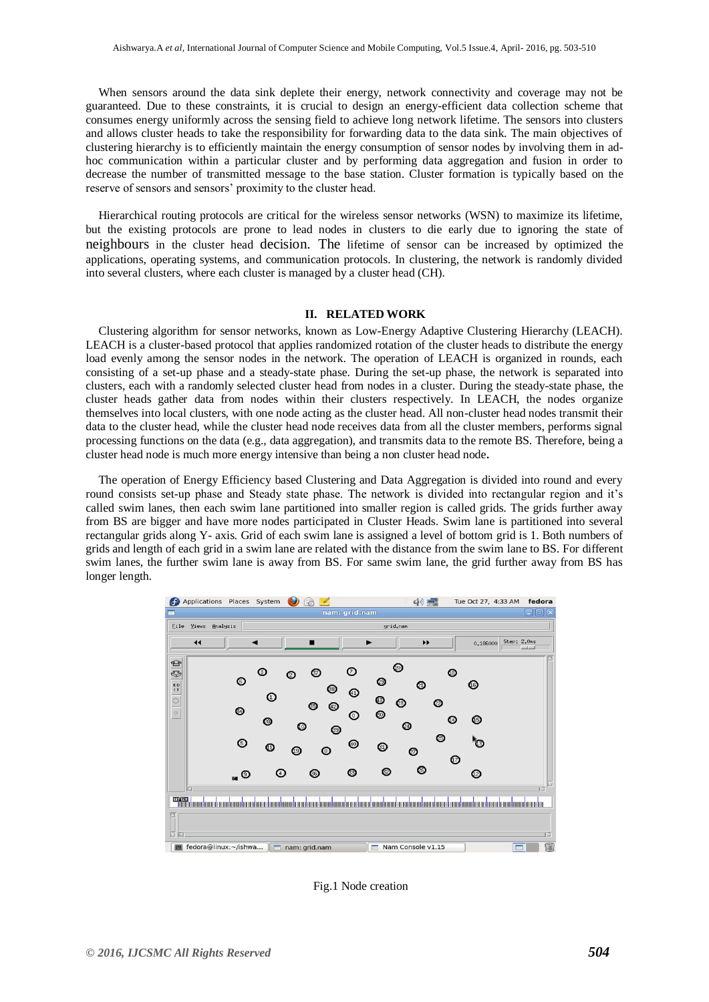When sensors around the data sink deplete their energy, network connectivity and coverage may not be guaranteed. Due to these constraints, it is crucial to design an energy-efficient data collection scheme that consumes energy uniformly across the sensing field to achieve long network lifetime. The sensors into clusters and allows cluster heads to take the responsibility for forwarding data to the data sink. The main objectives of clustering hierarchy is to efficiently maintain the energy consumption of sensor nodes by involving them in adhoc communication within a particular cluster and by performing data aggregation and fusion in order to decrease the number of transmitted message to the base station. Cluster formation is typically based on the reserve of sensors and sensors' proximity to the cluster head.

Hierarchical routing protocols are critical for the wireless sensor networks (WSN) to maximize its lifetime, but the existing protocols are prone to lead nodes in clusters to die early due to ignoring the state of neighbours in the cluster head decision. The lifetime of sensor can be increased by optimized the applications, operating systems, and communication protocols. In clustering, the network is randomly divided into several clusters, where each cluster is managed by a cluster head (CH).

#### **II. RELATED WORK**

Clustering algorithm for sensor networks, known as Low-Energy Adaptive Clustering Hierarchy (LEACH). LEACH is a cluster-based protocol that applies randomized rotation of the cluster heads to distribute the energy load evenly among the sensor nodes in the network. The operation of LEACH is organized in rounds, each consisting of a set-up phase and a steady-state phase. During the set-up phase, the network is separated into clusters, each with a randomly selected cluster head from nodes in a cluster. During the steady-state phase, the cluster heads gather data from nodes within their clusters respectively. In LEACH, the nodes organize themselves into local clusters, with one node acting as the cluster head. All non-cluster head nodes transmit their data to the cluster head, while the cluster head node receives data from all the cluster members, performs signal processing functions on the data (e.g., data aggregation), and transmits data to the remote BS. Therefore, being a cluster head node is much more energy intensive than being a non cluster head node**.** 

The operation of Energy Efficiency based Clustering and Data Aggregation is divided into round and every round consists set-up phase and Steady state phase. The network is divided into rectangular region and it's called swim lanes, then each swim lane partitioned into smaller region is called grids. The grids further away from BS are bigger and have more nodes participated in Cluster Heads. Swim lane is partitioned into several rectangular grids along Y- axis. Grid of each swim lane is assigned a level of bottom grid is 1. Both numbers of grids and length of each grid in a swim lane are related with the distance from the swim lane to BS. For different swim lanes, the further swim lane is away from BS. For same swim lane, the grid further away from BS has longer length.



Fig.1 Node creation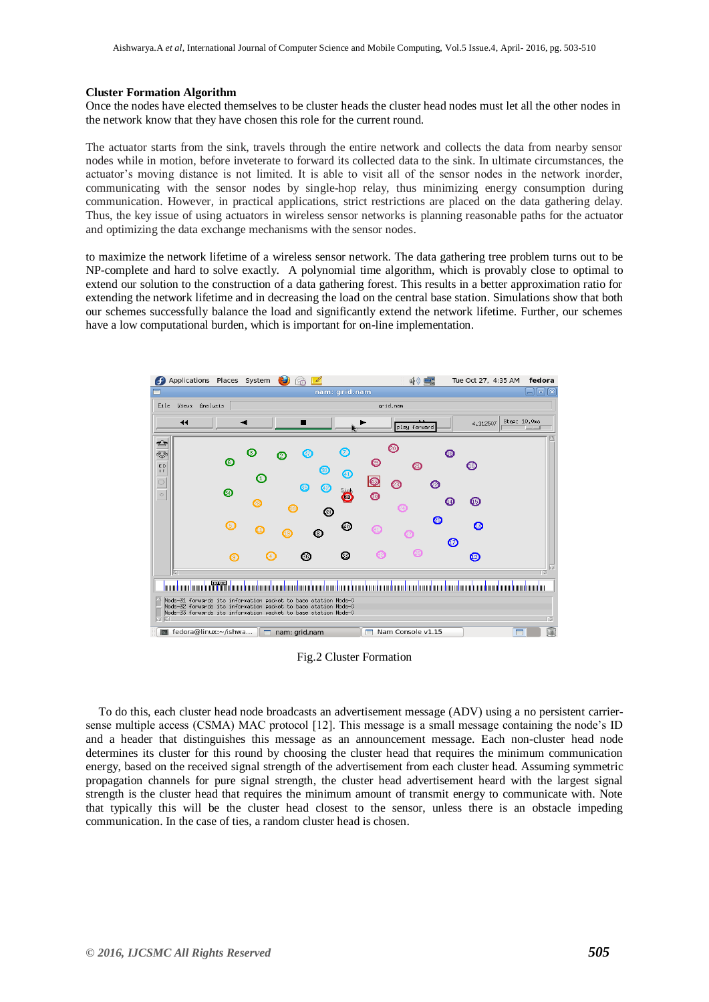#### **Cluster Formation Algorithm**

Once the nodes have elected themselves to be cluster heads the cluster head nodes must let all the other nodes in the network know that they have chosen this role for the current round.

The actuator starts from the sink, travels through the entire network and collects the data from nearby sensor nodes while in motion, before inveterate to forward its collected data to the sink. In ultimate circumstances, the actuator's moving distance is not limited. It is able to visit all of the sensor nodes in the network inorder, communicating with the sensor nodes by single-hop relay, thus minimizing energy consumption during communication. However, in practical applications, strict restrictions are placed on the data gathering delay. Thus, the key issue of using actuators in wireless sensor networks is planning reasonable paths for the actuator and optimizing the data exchange mechanisms with the sensor nodes.

to maximize the network lifetime of a wireless sensor network. The data gathering tree problem turns out to be NP-complete and hard to solve exactly. A polynomial time algorithm, which is provably close to optimal to extend our solution to the construction of a data gathering forest. This results in a better approximation ratio for extending the network lifetime and in decreasing the load on the central base station. Simulations show that both our schemes successfully balance the load and significantly extend the network lifetime. Further, our schemes have a low computational burden, which is important for on-line implementation.



Fig.2 Cluster Formation

To do this, each cluster head node broadcasts an advertisement message (ADV) using a no persistent carriersense multiple access (CSMA) MAC protocol [12]. This message is a small message containing the node's ID and a header that distinguishes this message as an announcement message. Each non-cluster head node determines its cluster for this round by choosing the cluster head that requires the minimum communication energy, based on the received signal strength of the advertisement from each cluster head. Assuming symmetric propagation channels for pure signal strength, the cluster head advertisement heard with the largest signal strength is the cluster head that requires the minimum amount of transmit energy to communicate with. Note that typically this will be the cluster head closest to the sensor, unless there is an obstacle impeding communication. In the case of ties, a random cluster head is chosen.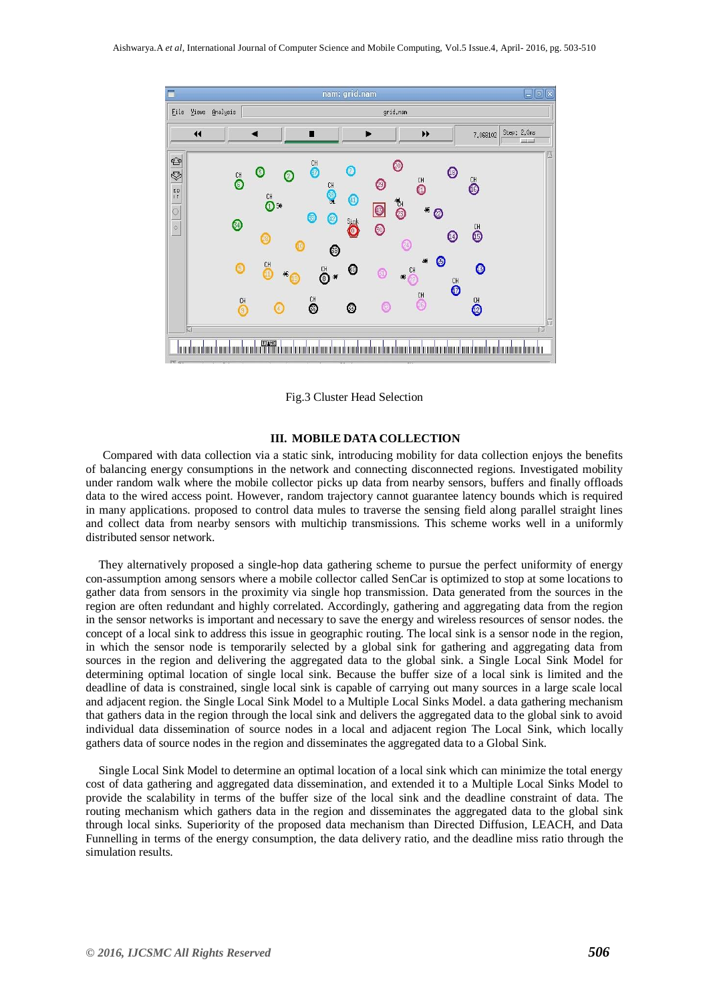

Fig.3 Cluster Head Selection

#### **III. MOBILE DATA COLLECTION**

Compared with data collection via a static sink, introducing mobility for data collection enjoys the benefits of balancing energy consumptions in the network and connecting disconnected regions. Investigated mobility under random walk where the mobile collector picks up data from nearby sensors, buffers and finally offloads data to the wired access point. However, random trajectory cannot guarantee latency bounds which is required in many applications. proposed to control data mules to traverse the sensing field along parallel straight lines and collect data from nearby sensors with multichip transmissions. This scheme works well in a uniformly distributed sensor network.

They alternatively proposed a single-hop data gathering scheme to pursue the perfect uniformity of energy con-assumption among sensors where a mobile collector called SenCar is optimized to stop at some locations to gather data from sensors in the proximity via single hop transmission. Data generated from the sources in the region are often redundant and highly correlated. Accordingly, gathering and aggregating data from the region in the sensor networks is important and necessary to save the energy and wireless resources of sensor nodes. the concept of a local sink to address this issue in geographic routing. The local sink is a sensor node in the region, in which the sensor node is temporarily selected by a global sink for gathering and aggregating data from sources in the region and delivering the aggregated data to the global sink. a Single Local Sink Model for determining optimal location of single local sink. Because the buffer size of a local sink is limited and the deadline of data is constrained, single local sink is capable of carrying out many sources in a large scale local and adjacent region. the Single Local Sink Model to a Multiple Local Sinks Model. a data gathering mechanism that gathers data in the region through the local sink and delivers the aggregated data to the global sink to avoid individual data dissemination of source nodes in a local and adjacent region The Local Sink, which locally gathers data of source nodes in the region and disseminates the aggregated data to a Global Sink.

Single Local Sink Model to determine an optimal location of a local sink which can minimize the total energy cost of data gathering and aggregated data dissemination, and extended it to a Multiple Local Sinks Model to provide the scalability in terms of the buffer size of the local sink and the deadline constraint of data. The routing mechanism which gathers data in the region and disseminates the aggregated data to the global sink through local sinks. Superiority of the proposed data mechanism than Directed Diffusion, LEACH, and Data Funnelling in terms of the energy consumption, the data delivery ratio, and the deadline miss ratio through the simulation results.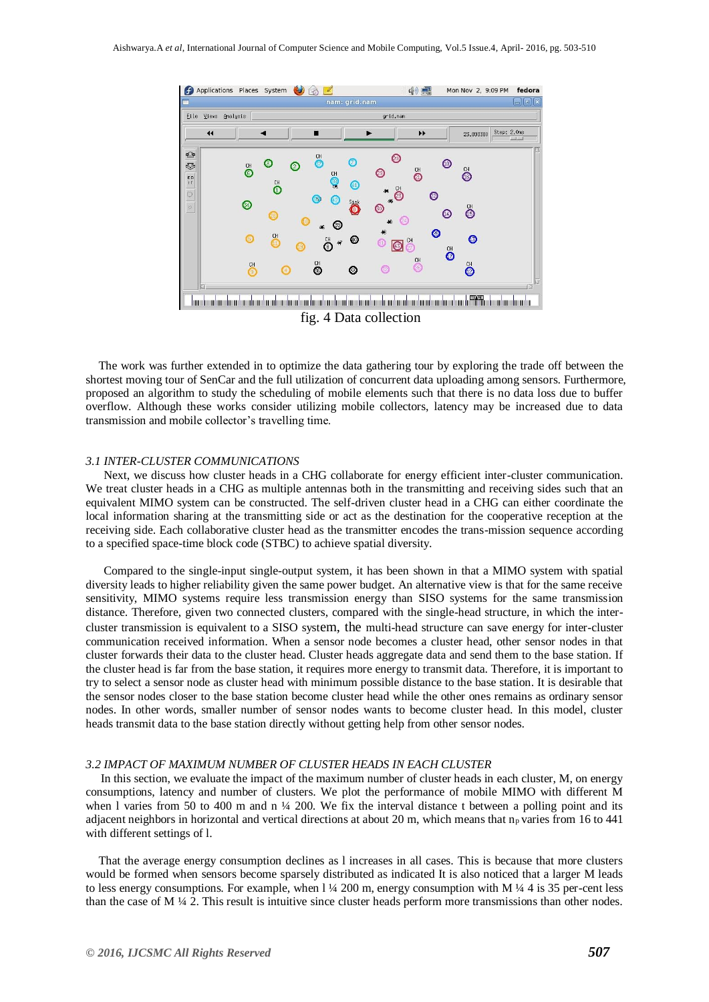

The work was further extended in to optimize the data gathering tour by exploring the trade off between the shortest moving tour of SenCar and the full utilization of concurrent data uploading among sensors. Furthermore, proposed an algorithm to study the scheduling of mobile elements such that there is no data loss due to buffer overflow. Although these works consider utilizing mobile collectors, latency may be increased due to data transmission and mobile collector's travelling time.

#### *3.1 INTER-CLUSTER COMMUNICATIONS*

 Next, we discuss how cluster heads in a CHG collaborate for energy efficient inter-cluster communication. We treat cluster heads in a CHG as multiple antennas both in the transmitting and receiving sides such that an equivalent MIMO system can be constructed. The self-driven cluster head in a CHG can either coordinate the local information sharing at the transmitting side or act as the destination for the cooperative reception at the receiving side. Each collaborative cluster head as the transmitter encodes the trans-mission sequence according to a specified space-time block code (STBC) to achieve spatial diversity.

 Compared to the single-input single-output system, it has been shown in that a MIMO system with spatial diversity leads to higher reliability given the same power budget. An alternative view is that for the same receive sensitivity, MIMO systems require less transmission energy than SISO systems for the same transmission distance. Therefore, given two connected clusters, compared with the single-head structure, in which the intercluster transmission is equivalent to a SISO system, the multi-head structure can save energy for inter-cluster communication received information. When a sensor node becomes a cluster head, other sensor nodes in that cluster forwards their data to the cluster head. Cluster heads aggregate data and send them to the base station. If the cluster head is far from the base station, it requires more energy to transmit data. Therefore, it is important to try to select a sensor node as cluster head with minimum possible distance to the base station. It is desirable that the sensor nodes closer to the base station become cluster head while the other ones remains as ordinary sensor nodes. In other words, smaller number of sensor nodes wants to become cluster head. In this model, cluster heads transmit data to the base station directly without getting help from other sensor nodes.

#### *3.2 IMPACT OF MAXIMUM NUMBER OF CLUSTER HEADS IN EACH CLUSTER*

 In this section, we evaluate the impact of the maximum number of cluster heads in each cluster, M, on energy consumptions, latency and number of clusters. We plot the performance of mobile MIMO with different M when l varies from 50 to 400 m and n  $\frac{1}{4}$  200. We fix the interval distance t between a polling point and its adjacent neighbors in horizontal and vertical directions at about 20 m, which means that  $n<sub>p</sub>$  varies from 16 to 441 with different settings of l.

That the average energy consumption declines as l increases in all cases. This is because that more clusters would be formed when sensors become sparsely distributed as indicated It is also noticed that a larger M leads to less energy consumptions. For example, when  $1\frac{1}{4}$  200 m, energy consumption with M  $\frac{1}{4}$  4 is 35 per-cent less than the case of M  $\frac{1}{4}$  2. This result is intuitive since cluster heads perform more transmissions than other nodes.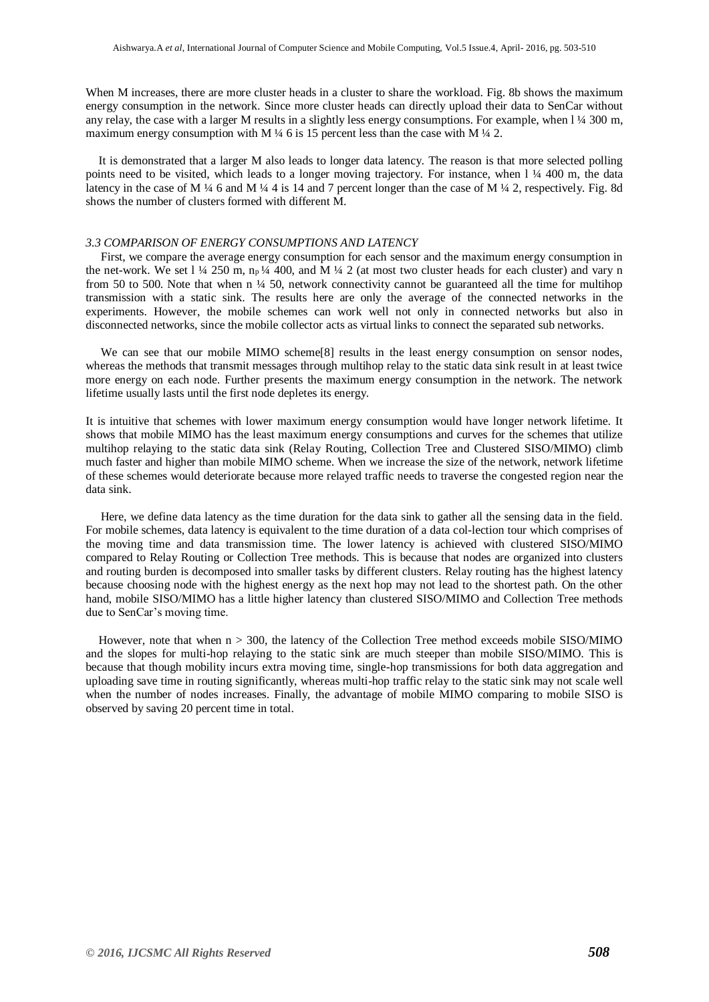When M increases, there are more cluster heads in a cluster to share the workload. Fig. 8b shows the maximum energy consumption in the network. Since more cluster heads can directly upload their data to SenCar without any relay, the case with a larger M results in a slightly less energy consumptions. For example, when  $1\frac{1}{4}$  300 m, maximum energy consumption with M  $\frac{1}{4}$  6 is 15 percent less than the case with M  $\frac{1}{4}$  2.

It is demonstrated that a larger M also leads to longer data latency. The reason is that more selected polling points need to be visited, which leads to a longer moving trajectory. For instance, when 1 1/4 400 m, the data latency in the case of M ¼ 6 and M ¼ 4 is 14 and 7 percent longer than the case of M ¼ 2, respectively. Fig. 8d shows the number of clusters formed with different M.

#### *3.3 COMPARISON OF ENERGY CONSUMPTIONS AND LATENCY*

 First, we compare the average energy consumption for each sensor and the maximum energy consumption in the net-work. We set  $1\frac{1}{4}$  250 m, n<sub>p</sub>  $\frac{1}{4}$  400, and M  $\frac{1}{4}$  2 (at most two cluster heads for each cluster) and vary n from 50 to 500. Note that when  $n \frac{1}{4}$  50, network connectivity cannot be guaranteed all the time for multihop transmission with a static sink. The results here are only the average of the connected networks in the experiments. However, the mobile schemes can work well not only in connected networks but also in disconnected networks, since the mobile collector acts as virtual links to connect the separated sub networks.

We can see that our mobile MIMO scheme<sup>[8]</sup> results in the least energy consumption on sensor nodes, whereas the methods that transmit messages through multihop relay to the static data sink result in at least twice more energy on each node. Further presents the maximum energy consumption in the network. The network lifetime usually lasts until the first node depletes its energy.

It is intuitive that schemes with lower maximum energy consumption would have longer network lifetime. It shows that mobile MIMO has the least maximum energy consumptions and curves for the schemes that utilize multihop relaying to the static data sink (Relay Routing, Collection Tree and Clustered SISO/MIMO) climb much faster and higher than mobile MIMO scheme. When we increase the size of the network, network lifetime of these schemes would deteriorate because more relayed traffic needs to traverse the congested region near the data sink.

 Here, we define data latency as the time duration for the data sink to gather all the sensing data in the field. For mobile schemes, data latency is equivalent to the time duration of a data col-lection tour which comprises of the moving time and data transmission time. The lower latency is achieved with clustered SISO/MIMO compared to Relay Routing or Collection Tree methods. This is because that nodes are organized into clusters and routing burden is decomposed into smaller tasks by different clusters. Relay routing has the highest latency because choosing node with the highest energy as the next hop may not lead to the shortest path. On the other hand, mobile SISO/MIMO has a little higher latency than clustered SISO/MIMO and Collection Tree methods due to SenCar's moving time.

However, note that when  $n > 300$ , the latency of the Collection Tree method exceeds mobile SISO/MIMO and the slopes for multi-hop relaying to the static sink are much steeper than mobile SISO/MIMO. This is because that though mobility incurs extra moving time, single-hop transmissions for both data aggregation and uploading save time in routing significantly, whereas multi-hop traffic relay to the static sink may not scale well when the number of nodes increases. Finally, the advantage of mobile MIMO comparing to mobile SISO is observed by saving 20 percent time in total.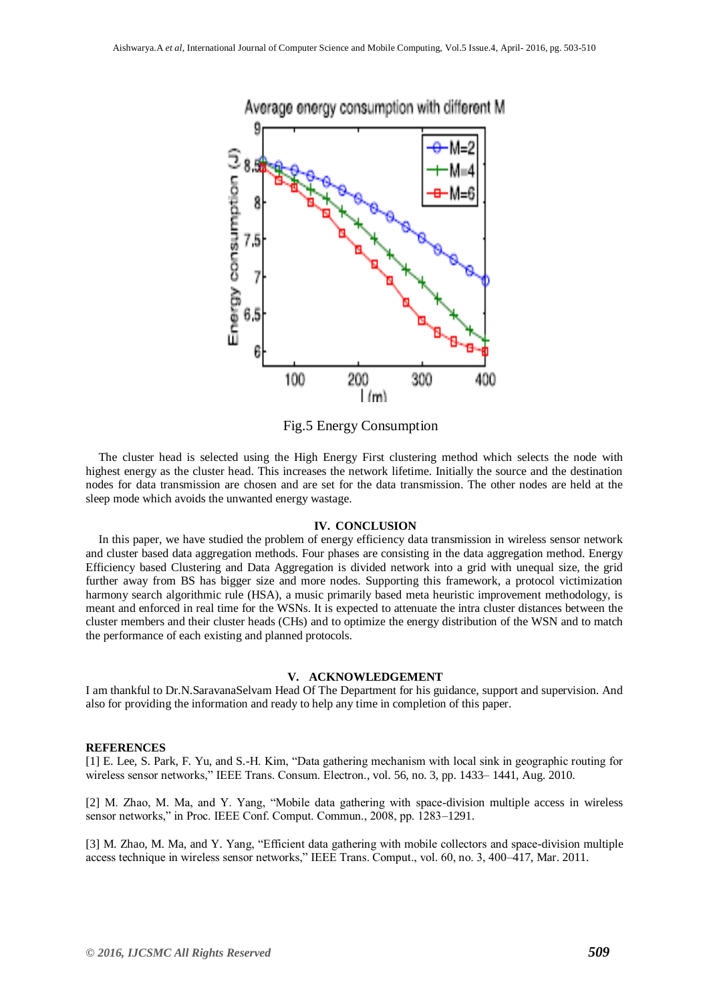

Fig.5 Energy Consumption

The cluster head is selected using the High Energy First clustering method which selects the node with highest energy as the cluster head. This increases the network lifetime. Initially the source and the destination nodes for data transmission are chosen and are set for the data transmission. The other nodes are held at the sleep mode which avoids the unwanted energy wastage.

#### **IV. CONCLUSION**

In this paper, we have studied the problem of energy efficiency data transmission in wireless sensor network and cluster based data aggregation methods. Four phases are consisting in the data aggregation method. Energy Efficiency based Clustering and Data Aggregation is divided network into a grid with unequal size, the grid further away from BS has bigger size and more nodes. Supporting this framework, a protocol victimization harmony search algorithmic rule (HSA), a music primarily based meta heuristic improvement methodology, is meant and enforced in real time for the WSNs. It is expected to attenuate the intra cluster distances between the cluster members and their cluster heads (CHs) and to optimize the energy distribution of the WSN and to match the performance of each existing and planned protocols.

#### **V. ACKNOWLEDGEMENT**

I am thankful to Dr.N.SaravanaSelvam Head Of The Department for his guidance, support and supervision. And also for providing the information and ready to help any time in completion of this paper.

#### **REFERENCES**

[1] E. Lee, S. Park, F. Yu, and S.-H. Kim, "Data gathering mechanism with local sink in geographic routing for wireless sensor networks," IEEE Trans. Consum. Electron., vol. 56, no. 3, pp. 1433– 1441, Aug. 2010.

[2] M. Zhao, M. Ma, and Y. Yang, "Mobile data gathering with space-division multiple access in wireless sensor networks," in Proc. IEEE Conf. Comput. Commun., 2008, pp. 1283–1291.

[3] M. Zhao, M. Ma, and Y. Yang, "Efficient data gathering with mobile collectors and space-division multiple access technique in wireless sensor networks," IEEE Trans. Comput., vol. 60, no. 3, 400–417, Mar. 2011.